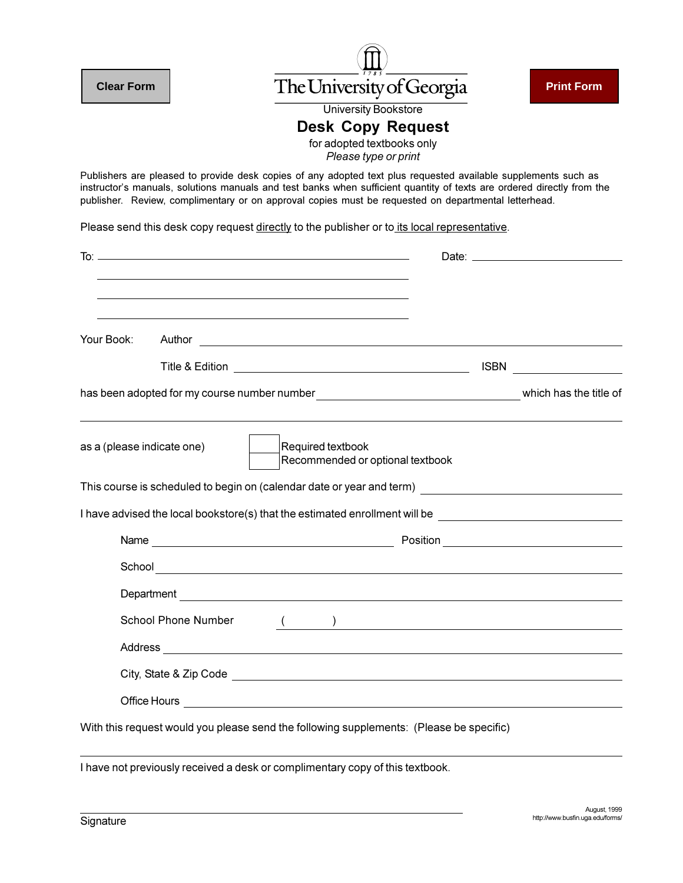

|             | I have advised the local bookstore(s) that the estimated enrollment will be |  |
|-------------|-----------------------------------------------------------------------------|--|
| <b>Name</b> | Position                                                                    |  |
|             |                                                                             |  |

| School                                                                                                         |  |  |  |
|----------------------------------------------------------------------------------------------------------------|--|--|--|
| Department                                                                                                     |  |  |  |
| <b>School Phone Number</b>                                                                                     |  |  |  |
| <b>Address</b>                                                                                                 |  |  |  |
| City, State & Zip Code entry and the state of the state of the state of the state of the state of the state of |  |  |  |
| Office Hours<br><u> 1989 - Jan James Stein, fransk politik (d. 1989)</u>                                       |  |  |  |
|                                                                                                                |  |  |  |

With this request would you please send the following supplements: (Please be specific)

I have not previously received a desk or complimentary copy of this textbook.